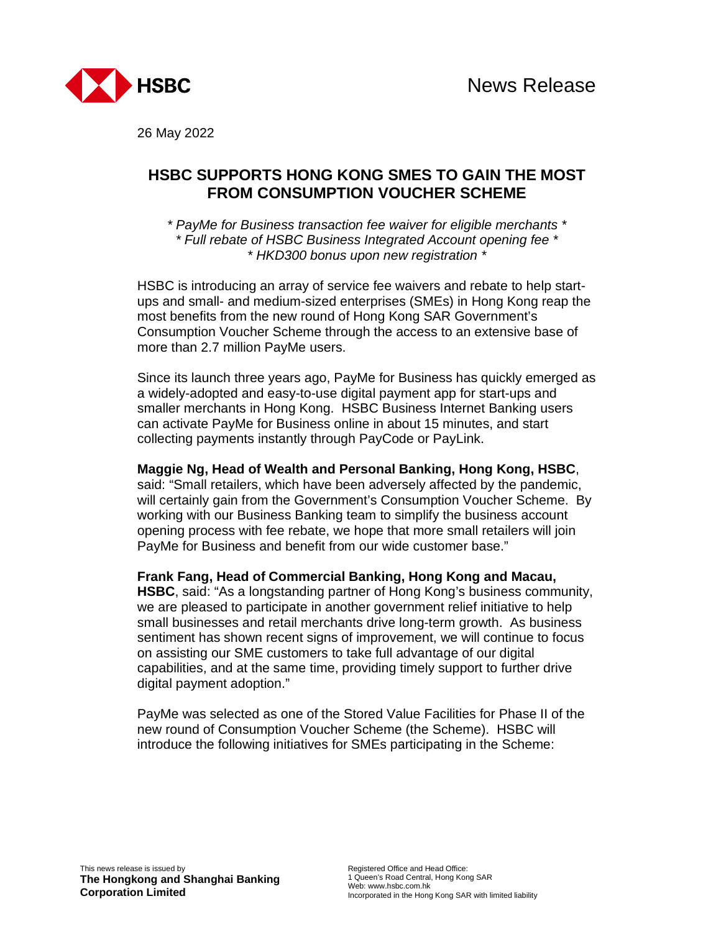

26 May 2022

# **HSBC SUPPORTS HONG KONG SMES TO GAIN THE MOST FROM CONSUMPTION VOUCHER SCHEME**

*\* PayMe for Business transaction fee waiver for eligible merchants \* \* Full rebate of HSBC Business Integrated Account opening fee \* \* HKD300 bonus upon new registration \** 

HSBC is introducing an array of service fee waivers and rebate to help startups and small- and medium-sized enterprises (SMEs) in Hong Kong reap the most benefits from the new round of Hong Kong SAR Government's Consumption Voucher Scheme through the access to an extensive base of more than 2.7 million PayMe users.

Since its launch three years ago, PayMe for Business has quickly emerged as a widely-adopted and easy-to-use digital payment app for start-ups and smaller merchants in Hong Kong. HSBC Business Internet Banking users can activate PayMe for Business online in about 15 minutes, and start collecting payments instantly through PayCode or PayLink.

**Maggie Ng, Head of Wealth and Personal Banking, Hong Kong, HSBC**, said: "Small retailers, which have been adversely affected by the pandemic, will certainly gain from the Government's Consumption Voucher Scheme. By working with our Business Banking team to simplify the business account opening process with fee rebate, we hope that more small retailers will join PayMe for Business and benefit from our wide customer base."

**Frank Fang, Head of Commercial Banking, Hong Kong and Macau, HSBC**, said: "As a longstanding partner of Hong Kong's business community, we are pleased to participate in another government relief initiative to help small businesses and retail merchants drive long-term growth. As business sentiment has shown recent signs of improvement, we will continue to focus on assisting our SME customers to take full advantage of our digital capabilities, and at the same time, providing timely support to further drive digital payment adoption."

PayMe was selected as one of the Stored Value Facilities for Phase II of the new round of Consumption Voucher Scheme (the Scheme). HSBC will introduce the following initiatives for SMEs participating in the Scheme: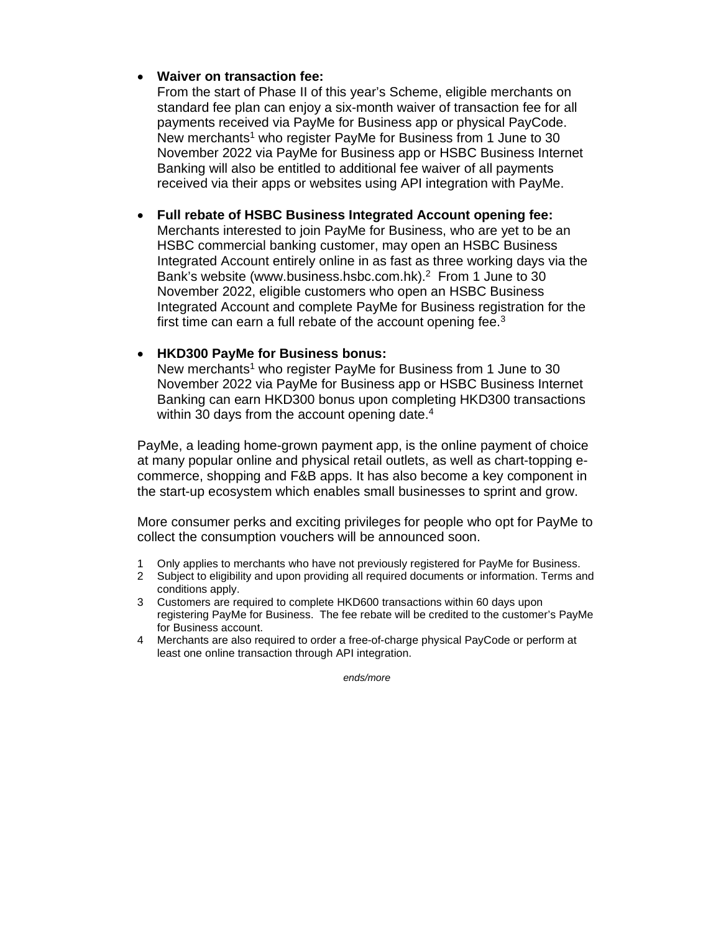## **Waiver on transaction fee:**

From the start of Phase II of this year's Scheme, eligible merchants on standard fee plan can enjoy a six-month waiver of transaction fee for all payments received via PayMe for Business app or physical PayCode. New merchants<sup>1</sup> who register PayMe for Business from 1 June to 30 November 2022 via PayMe for Business app or HSBC Business Internet Banking will also be entitled to additional fee waiver of all payments received via their apps or websites using API integration with PayMe.

#### **Full rebate of HSBC Business Integrated Account opening fee:**

Merchants interested to join PayMe for Business, who are yet to be an HSBC commercial banking customer, may open an HSBC Business Integrated Account entirely online in as fast as three working days via the Bank's website (www.business.hsbc.com.hk).<sup>2</sup> From 1 June to 30 November 2022, eligible customers who open an HSBC Business Integrated Account and complete PayMe for Business registration for the first time can earn a full rebate of the account opening fee.<sup>3</sup>

## **HKD300 PayMe for Business bonus:**

New merchants<sup>1</sup> who register PayMe for Business from 1 June to 30 November 2022 via PayMe for Business app or HSBC Business Internet Banking can earn HKD300 bonus upon completing HKD300 transactions within 30 days from the account opening date.<sup>4</sup>

PayMe, a leading home-grown payment app, is the online payment of choice at many popular online and physical retail outlets, as well as chart-topping ecommerce, shopping and F&B apps. It has also become a key component in the start-up ecosystem which enables small businesses to sprint and grow.

More consumer perks and exciting privileges for people who opt for PayMe to collect the consumption vouchers will be announced soon.

- 1 Only applies to merchants who have not previously registered for PayMe for Business.
- 2 Subject to eligibility and upon providing all required documents or information. Terms and conditions apply.
- 3 Customers are required to complete HKD600 transactions within 60 days upon registering PayMe for Business. The fee rebate will be credited to the customer's PayMe for Business account.
- 4 Merchants are also required to order a free-of-charge physical PayCode or perform at least one online transaction through API integration.

*ends/more*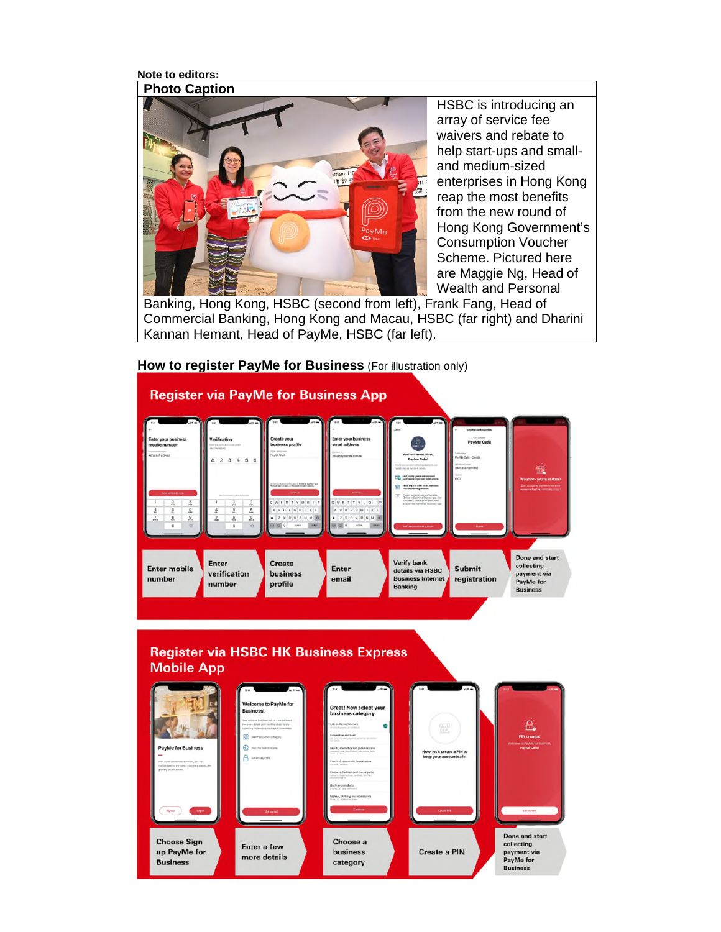**Note to editors:** 



HSBC is introducing an array of service fee waivers and rebate to help start-ups and smalland medium-sized enterprises in Hong Kong reap the most benefits from the new round of Hong Kong Government's Consumption Voucher Scheme. Pictured here are Maggie Ng, Head of Wealth and Personal

Banking, Hong Kong, HSBC (second from left), Frank Fang, Head of Commercial Banking, Hong Kong and Macau, HSBC (far right) and Dharini Kannan Hemant, Head of PayMe, HSBC (far left).



**How to register PayMe for Business** (For illustration only)